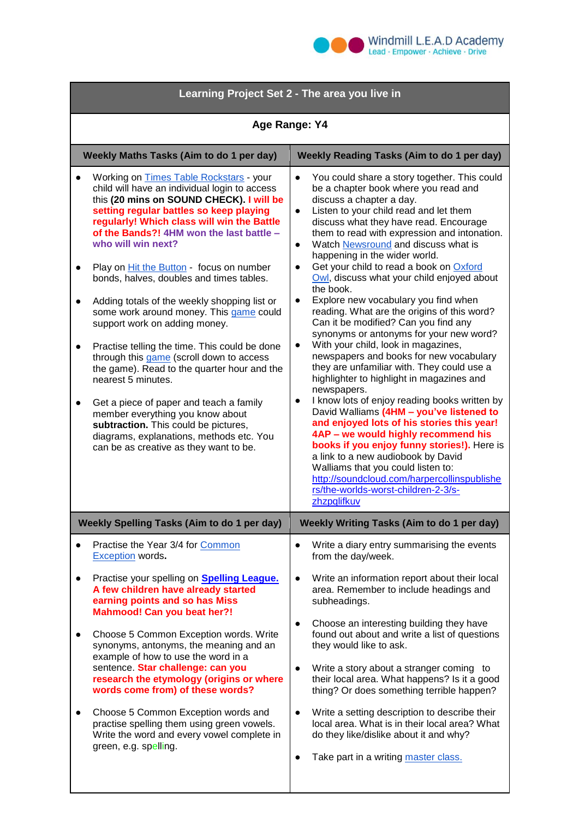

| Learning Project Set 2 - The area you live in                                                                                                                                                                                                                                                                                                                                                                                                                                                                                                                                                                                                                                                                                                                                                                                                                                                                   |                                                                                                                                                                                                                                                                                                                                                                                                                                                                                                                                                                                                                                                                                                                                                                                                                                                                                                                                                                                                                                                                                                                                                                                                                                                                                                                       |
|-----------------------------------------------------------------------------------------------------------------------------------------------------------------------------------------------------------------------------------------------------------------------------------------------------------------------------------------------------------------------------------------------------------------------------------------------------------------------------------------------------------------------------------------------------------------------------------------------------------------------------------------------------------------------------------------------------------------------------------------------------------------------------------------------------------------------------------------------------------------------------------------------------------------|-----------------------------------------------------------------------------------------------------------------------------------------------------------------------------------------------------------------------------------------------------------------------------------------------------------------------------------------------------------------------------------------------------------------------------------------------------------------------------------------------------------------------------------------------------------------------------------------------------------------------------------------------------------------------------------------------------------------------------------------------------------------------------------------------------------------------------------------------------------------------------------------------------------------------------------------------------------------------------------------------------------------------------------------------------------------------------------------------------------------------------------------------------------------------------------------------------------------------------------------------------------------------------------------------------------------------|
| Age Range: Y4                                                                                                                                                                                                                                                                                                                                                                                                                                                                                                                                                                                                                                                                                                                                                                                                                                                                                                   |                                                                                                                                                                                                                                                                                                                                                                                                                                                                                                                                                                                                                                                                                                                                                                                                                                                                                                                                                                                                                                                                                                                                                                                                                                                                                                                       |
| Weekly Maths Tasks (Aim to do 1 per day)                                                                                                                                                                                                                                                                                                                                                                                                                                                                                                                                                                                                                                                                                                                                                                                                                                                                        | Weekly Reading Tasks (Aim to do 1 per day)                                                                                                                                                                                                                                                                                                                                                                                                                                                                                                                                                                                                                                                                                                                                                                                                                                                                                                                                                                                                                                                                                                                                                                                                                                                                            |
| Working on Times Table Rockstars - your<br>child will have an individual login to access<br>this (20 mins on SOUND CHECK). I will be<br>setting regular battles so keep playing<br>regularly! Which class will win the Battle<br>of the Bands?! 4HM won the last battle -<br>who will win next?<br>Play on Hit the Button - focus on number<br>bonds, halves, doubles and times tables.<br>Adding totals of the weekly shopping list or<br>$\bullet$<br>some work around money. This game could<br>support work on adding money.<br>Practise telling the time. This could be done<br>through this game (scroll down to access<br>the game). Read to the quarter hour and the<br>nearest 5 minutes.<br>Get a piece of paper and teach a family<br>member everything you know about<br>subtraction. This could be pictures,<br>diagrams, explanations, methods etc. You<br>can be as creative as they want to be. | You could share a story together. This could<br>$\bullet$<br>be a chapter book where you read and<br>discuss a chapter a day.<br>Listen to your child read and let them<br>$\bullet$<br>discuss what they have read. Encourage<br>them to read with expression and intonation.<br>Watch Newsround and discuss what is<br>$\bullet$<br>happening in the wider world.<br>Get your child to read a book on Oxford<br>$\bullet$<br>Owl, discuss what your child enjoyed about<br>the book.<br>Explore new vocabulary you find when<br>$\bullet$<br>reading. What are the origins of this word?<br>Can it be modified? Can you find any<br>synonyms or antonyms for your new word?<br>With your child, look in magazines,<br>$\bullet$<br>newspapers and books for new vocabulary<br>they are unfamiliar with. They could use a<br>highlighter to highlight in magazines and<br>newspapers.<br>I know lots of enjoy reading books written by<br>$\bullet$<br>David Walliams (4HM - you've listened to<br>and enjoyed lots of his stories this year!<br>4AP - we would highly recommend his<br>books if you enjoy funny stories!). Here is<br>a link to a new audiobook by David<br>Walliams that you could listen to:<br>http://soundcloud.com/harpercollinspublishe<br>rs/the-worlds-worst-children-2-3/s-<br>zhzpalifkuv |
| Weekly Spelling Tasks (Aim to do 1 per day)                                                                                                                                                                                                                                                                                                                                                                                                                                                                                                                                                                                                                                                                                                                                                                                                                                                                     | Weekly Writing Tasks (Aim to do 1 per day)                                                                                                                                                                                                                                                                                                                                                                                                                                                                                                                                                                                                                                                                                                                                                                                                                                                                                                                                                                                                                                                                                                                                                                                                                                                                            |
| Practise the Year 3/4 for Common<br>Exception words.                                                                                                                                                                                                                                                                                                                                                                                                                                                                                                                                                                                                                                                                                                                                                                                                                                                            | Write a diary entry summarising the events<br>$\bullet$<br>from the day/week.                                                                                                                                                                                                                                                                                                                                                                                                                                                                                                                                                                                                                                                                                                                                                                                                                                                                                                                                                                                                                                                                                                                                                                                                                                         |
| Practise your spelling on Spelling League.<br>A few children have already started<br>earning points and so has Miss<br><b>Mahmood! Can you beat her?!</b><br>Choose 5 Common Exception words. Write<br>synonyms, antonyms, the meaning and an<br>example of how to use the word in a<br>sentence. Star challenge: can you<br>research the etymology (origins or where<br>words come from) of these words?<br>Choose 5 Common Exception words and<br>practise spelling them using green vowels.<br>Write the word and every vowel complete in<br>green, e.g. spelling.                                                                                                                                                                                                                                                                                                                                           | Write an information report about their local<br>area. Remember to include headings and<br>subheadings.<br>Choose an interesting building they have<br>$\bullet$<br>found out about and write a list of questions<br>they would like to ask.<br>Write a story about a stranger coming to<br>$\bullet$<br>their local area. What happens? Is it a good<br>thing? Or does something terrible happen?<br>Write a setting description to describe their<br>$\bullet$<br>local area. What is in their local area? What<br>do they like/dislike about it and why?<br>Take part in a writing master class.<br>$\bullet$                                                                                                                                                                                                                                                                                                                                                                                                                                                                                                                                                                                                                                                                                                      |